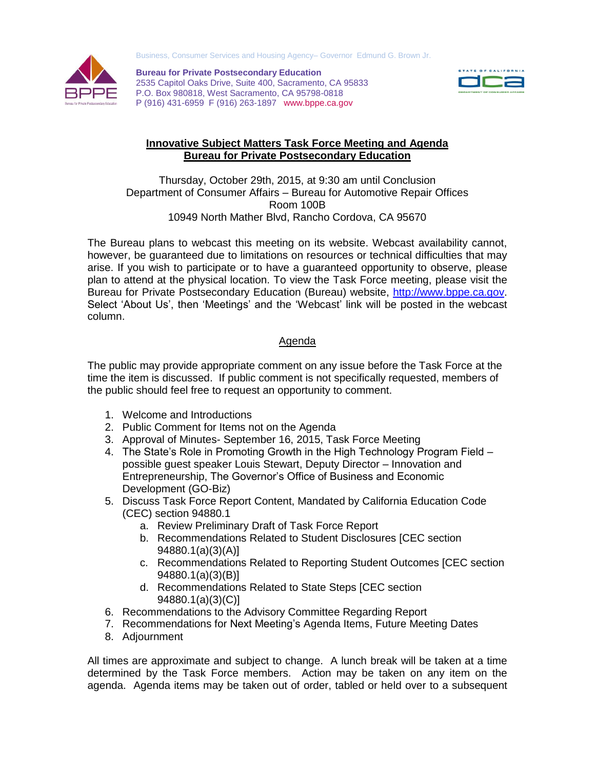



**Bureau for Private Postsecondary Education** 2535 Capitol Oaks Drive, Suite 400, Sacramento, CA 95833 P.O. Box 980818, West Sacramento, CA 95798-0818 P (916) 431-6959 F (916) 263-1897 www.bppe.ca.gov



## **Innovative Subject Matters Task Force Meeting and Agenda Bureau for Private Postsecondary Education**

Thursday, October 29th, 2015, at 9:30 am until Conclusion Department of Consumer Affairs – Bureau for Automotive Repair Offices Room 100B 10949 North Mather Blvd, Rancho Cordova, CA 95670

The Bureau plans to webcast this meeting on its website. Webcast availability cannot, however, be guaranteed due to limitations on resources or technical difficulties that may arise. If you wish to participate or to have a guaranteed opportunity to observe, please plan to attend at the physical location. To view the Task Force meeting, please visit the Bureau for Private Postsecondary Education (Bureau) website, [http://www.bppe.ca.gov.](http://www.bppe.ca.gov/) Select 'About Us', then 'Meetings' and the 'Webcast' link will be posted in the webcast column.

## Agenda

The public may provide appropriate comment on any issue before the Task Force at the time the item is discussed. If public comment is not specifically requested, members of the public should feel free to request an opportunity to comment.

- 1. Welcome and Introductions
- 2. Public Comment for Items not on the Agenda
- 3. Approval of Minutes- September 16, 2015, Task Force Meeting
- 4. The State's Role in Promoting Growth in the High Technology Program Field possible guest speaker Louis Stewart, Deputy Director – Innovation and Entrepreneurship, The Governor's Office of Business and Economic Development (GO-Biz)
- 5. Discuss Task Force Report Content, Mandated by California Education Code (CEC) section 94880.1
	- a. Review Preliminary Draft of Task Force Report
	- b. Recommendations Related to Student Disclosures [CEC section 94880.1(a)(3)(A)]
	- c. Recommendations Related to Reporting Student Outcomes [CEC section 94880.1(a)(3)(B)]
	- d. Recommendations Related to State Steps [CEC section 94880.1(a)(3)(C)]
- 6. Recommendations to the Advisory Committee Regarding Report
- 7. Recommendations for Next Meeting's Agenda Items, Future Meeting Dates
- 8. Adjournment

All times are approximate and subject to change. A lunch break will be taken at a time determined by the Task Force members. Action may be taken on any item on the agenda. Agenda items may be taken out of order, tabled or held over to a subsequent